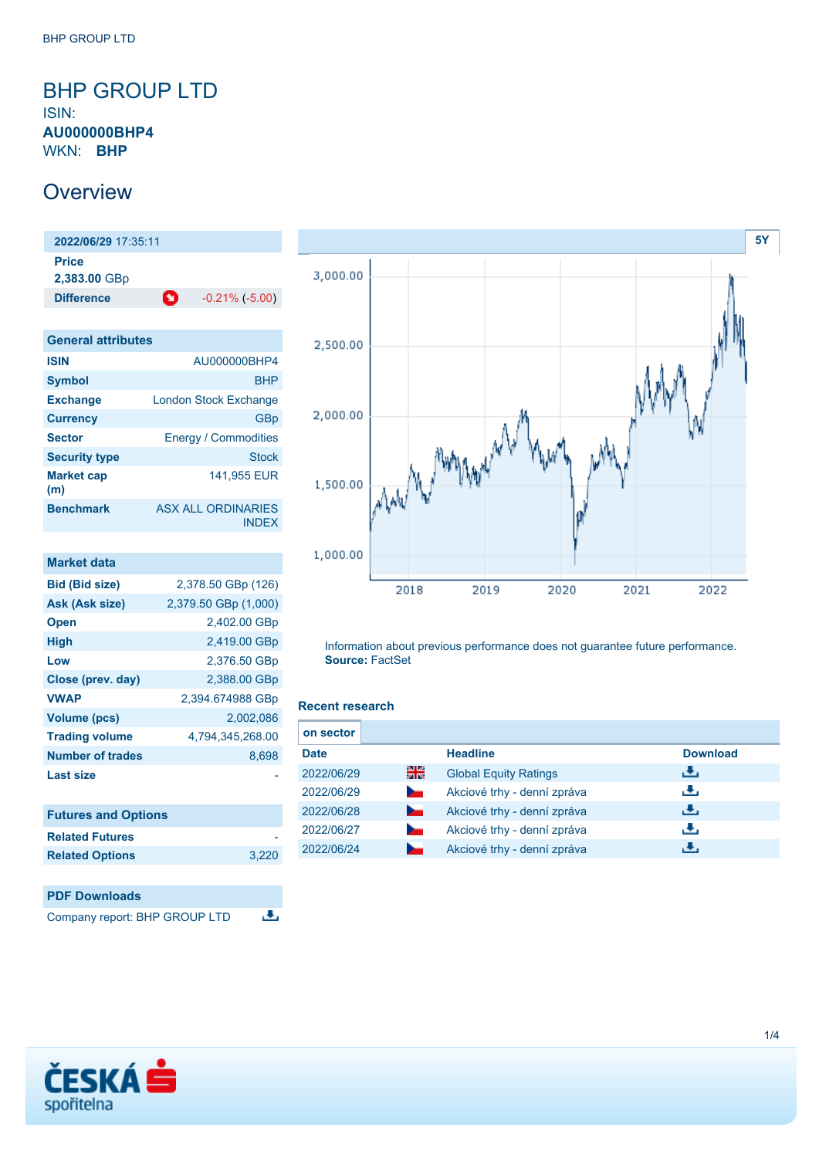# <span id="page-0-0"></span>BHP GROUP LTD ISIN:

**AU000000BHP4** WKN: **BHP**

# **Overview**

**2022/06/29** 17:35:11 **Price 2,383.00** GBp **Difference C** -0.21% (-5.00)

| <b>General attributes</b> |                                           |
|---------------------------|-------------------------------------------|
| <b>ISIN</b>               | AU000000BHP4                              |
| <b>Symbol</b>             | <b>BHP</b>                                |
| <b>Exchange</b>           | <b>London Stock Exchange</b>              |
| <b>Currency</b>           | GBp                                       |
| <b>Sector</b>             | <b>Energy / Commodities</b>               |
| <b>Security type</b>      | <b>Stock</b>                              |
| <b>Market cap</b><br>(m)  | 141,955 EUR                               |
| <b>Benchmark</b>          | <b>ASX ALL ORDINARIES</b><br><b>INDEX</b> |

| Market data             |                      |
|-------------------------|----------------------|
| <b>Bid (Bid size)</b>   | 2,378.50 GBp (126)   |
| Ask (Ask size)          | 2,379.50 GBp (1,000) |
| <b>Open</b>             | 2,402.00 GBp         |
| <b>High</b>             | 2,419.00 GBp         |
| Low                     | 2,376.50 GBp         |
| Close (prev. day)       | 2,388.00 GBp         |
| <b>VWAP</b>             | 2,394.674988 GBp     |
| <b>Volume (pcs)</b>     | 2.002.086            |
| <b>Trading volume</b>   | 4.794.345.268.00     |
| <b>Number of trades</b> | 8.698                |
| <b>Last size</b>        |                      |

| <b>Futures and Options</b> |       |
|----------------------------|-------|
| <b>Related Futures</b>     |       |
| <b>Related Options</b>     | 3.220 |





Information about previous performance does not guarantee future performance. **Source:** FactSet

### **Recent research**

| on sector   |                |                              |                 |  |
|-------------|----------------|------------------------------|-----------------|--|
| <b>Date</b> |                | <b>Headline</b>              | <b>Download</b> |  |
| 2022/06/29  | 을중             | <b>Global Equity Ratings</b> | رنان            |  |
| 2022/06/29  | $\sim$         | Akciové trhy - denní zpráva  | رائي            |  |
| 2022/06/28  | ►              | Akciové trhy - denní zpráva  | رنان            |  |
| 2022/06/27  | <b>Service</b> | Akciové trhy - denní zpráva  | رنان            |  |
| 2022/06/24  |                | Akciové trhy - denní zpráva  |                 |  |

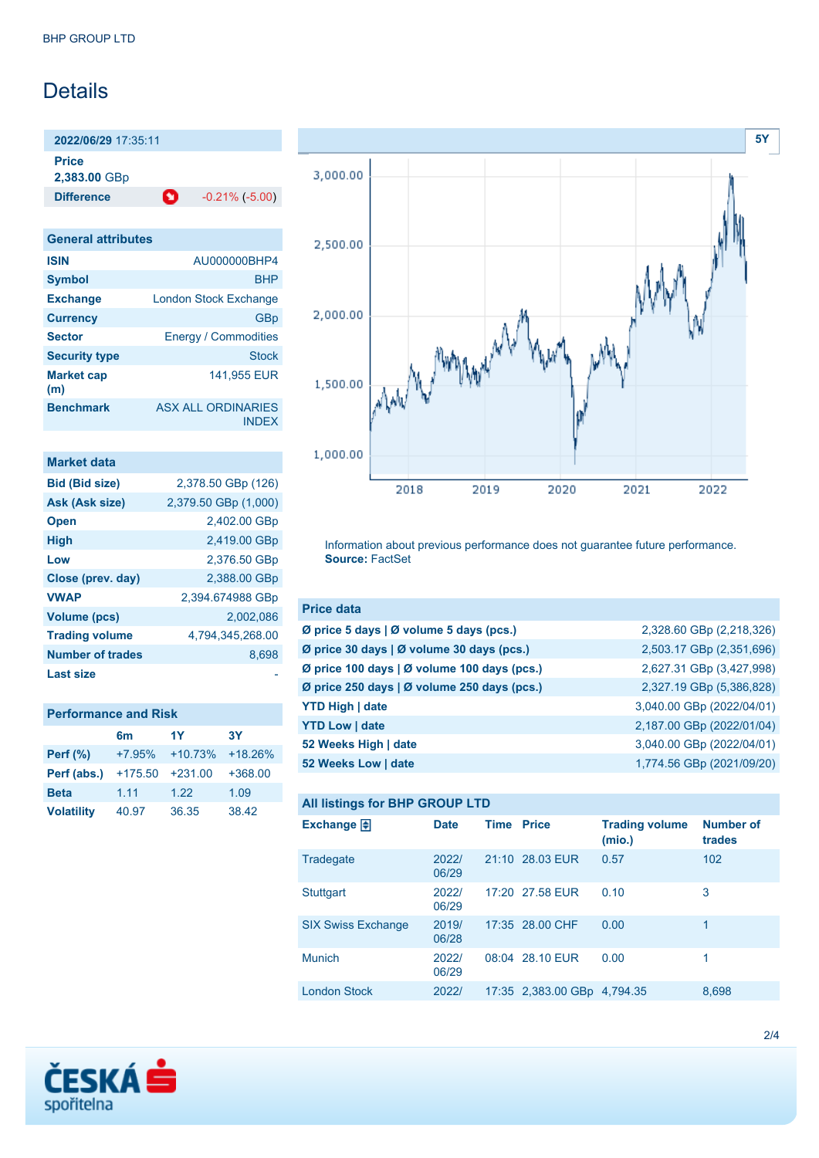# Details

**2022/06/29** 17:35:11 **Price**

**2,383.00** GBp

**Difference C** -0.21% (-5.00)

**General attributes ISIN** AU000000BHP4 **Symbol** BHP **Exchange** London Stock Exchange **Currency** GBp **Sector** Energy / Commodities **Security type Stock Stock Market cap (m)** 141,955 EUR **Benchmark** ASX ALL ORDINARIES INDEX

| Market data             |                      |
|-------------------------|----------------------|
| <b>Bid (Bid size)</b>   | 2,378.50 GBp (126)   |
| Ask (Ask size)          | 2,379.50 GBp (1,000) |
| <b>Open</b>             | 2,402.00 GBp         |
| <b>High</b>             | 2,419.00 GBp         |
| Low                     | 2,376.50 GBp         |
| Close (prev. day)       | 2,388.00 GBp         |
| <b>VWAP</b>             | 2,394.674988 GBp     |
| <b>Volume (pcs)</b>     | 2.002.086            |
| <b>Trading volume</b>   | 4,794,345,268.00     |
| <b>Number of trades</b> | 8,698                |
| Last size               |                      |

| <b>Performance and Risk</b> |           |           |           |  |
|-----------------------------|-----------|-----------|-----------|--|
|                             | 6m        | 1Y        | <b>3Y</b> |  |
| <b>Perf</b> (%)             | $+7.95%$  | $+10.73%$ | $+18.26%$ |  |
| Perf (abs.)                 | $+175.50$ | $+231.00$ | $+368.00$ |  |
| <b>Beta</b>                 | 1.11      | 1.22      | 1.09      |  |
| <b>Volatility</b>           | 40.97     | 36.35     | 38.42     |  |



Information about previous performance does not guarantee future performance. **Source:** FactSet

| <b>Price data</b>                                           |                           |
|-------------------------------------------------------------|---------------------------|
| $\emptyset$ price 5 days   $\emptyset$ volume 5 days (pcs.) | 2,328.60 GBp (2,218,326)  |
| Ø price 30 days   Ø volume 30 days (pcs.)                   | 2,503.17 GBp (2,351,696)  |
| Ø price 100 days   Ø volume 100 days (pcs.)                 | 2,627.31 GBp (3,427,998)  |
| Ø price 250 days   Ø volume 250 days (pcs.)                 | 2,327.19 GBp (5,386,828)  |
| <b>YTD High   date</b>                                      | 3,040.00 GBp (2022/04/01) |
| <b>YTD Low   date</b>                                       | 2,187.00 GBp (2022/01/04) |
| 52 Weeks High   date                                        | 3,040.00 GBp (2022/04/01) |
| 52 Weeks Low   date                                         | 1,774.56 GBp (2021/09/20) |

## **All listings for BHP GROUP LTD**

| ີ                         |                |                   |                             |                                 |                            |
|---------------------------|----------------|-------------------|-----------------------------|---------------------------------|----------------------------|
| Exchange $\Box$           | <b>Date</b>    | <b>Time Price</b> |                             | <b>Trading volume</b><br>(mio.) | <b>Number of</b><br>trades |
| Tradegate                 | 2022/<br>06/29 |                   | 21:10 28.03 EUR             | 0.57                            | 102                        |
| <b>Stuttgart</b>          | 2022/<br>06/29 |                   | 17:20 27.58 EUR             | 0.10                            | 3                          |
| <b>SIX Swiss Exchange</b> | 2019/<br>06/28 |                   | 17:35 28.00 CHF             | 0.00                            | 1                          |
| <b>Munich</b>             | 2022/<br>06/29 |                   | 08:04 28.10 EUR             | 0.00                            | 1                          |
| <b>London Stock</b>       | 2022/          |                   | 17:35 2,383.00 GBp 4,794.35 |                                 | 8,698                      |

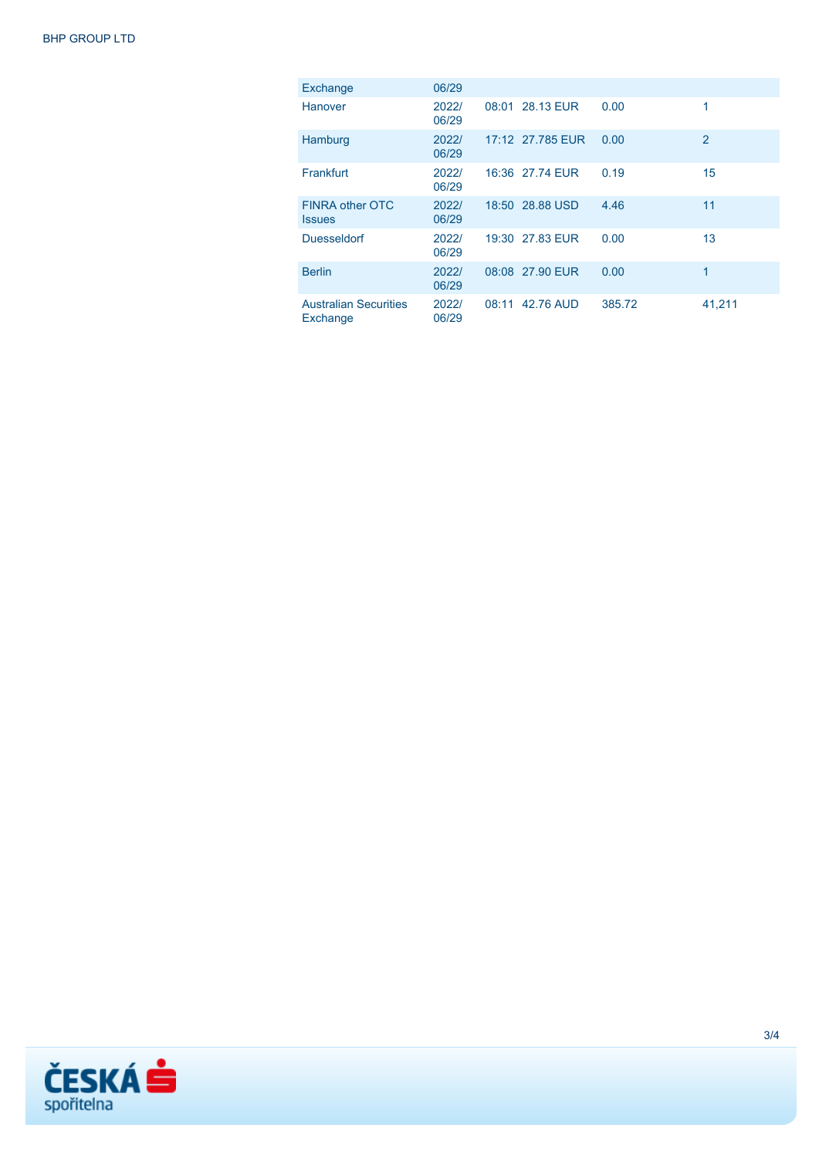| Exchange                                 | 06/29          |       |                  |        |                |
|------------------------------------------|----------------|-------|------------------|--------|----------------|
| Hanover                                  | 2022/<br>06/29 |       | 08:01 28.13 EUR  | 0.00   | 1              |
| Hamburg                                  | 2022/<br>06/29 |       | 17:12 27.785 EUR | 0.00   | $\overline{2}$ |
| Frankfurt                                | 2022/<br>06/29 |       | 16:36 27.74 EUR  | 0.19   | 15             |
| <b>FINRA other OTC</b><br><b>Issues</b>  | 2022/<br>06/29 |       | 18:50 28.88 USD  | 4.46   | 11             |
| <b>Duesseldorf</b>                       | 2022/<br>06/29 |       | 19:30 27.83 EUR  | 0.00   | 13             |
| <b>Berlin</b>                            | 2022/<br>06/29 |       | 08:08 27.90 EUR  | 0.00   | 1              |
| <b>Australian Securities</b><br>Exchange | 2022/<br>06/29 | 08:11 | 42.76 AUD        | 385.72 | 41,211         |